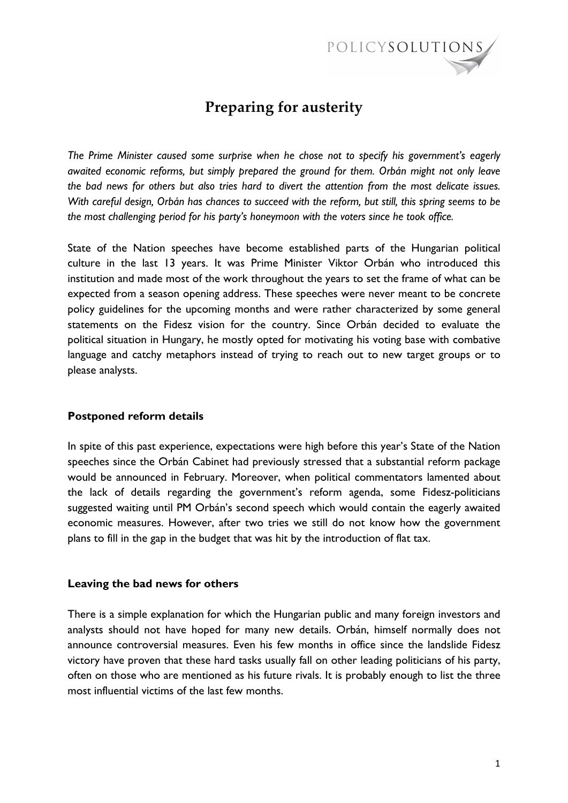

# **Preparing for austerity**

*The Prime Minister caused some surprise when he chose not to specify his government's eagerly awaited economic reforms, but simply prepared the ground for them. Orbán might not only leave the bad news for others but also tries hard to divert the attention from the most delicate issues. With careful design, Orbán has chances to succeed with the reform, but still, this spring seems to be the most challenging period for his party's honeymoon with the voters since he took office.* 

State of the Nation speeches have become established parts of the Hungarian political culture in the last 13 years. It was Prime Minister Viktor Orbán who introduced this institution and made most of the work throughout the years to set the frame of what can be expected from a season opening address. These speeches were never meant to be concrete policy guidelines for the upcoming months and were rather characterized by some general statements on the Fidesz vision for the country. Since Orbán decided to evaluate the political situation in Hungary, he mostly opted for motivating his voting base with combative language and catchy metaphors instead of trying to reach out to new target groups or to please analysts.

## **Postponed reform details**

In spite of this past experience, expectations were high before this year's State of the Nation speeches since the Orbán Cabinet had previously stressed that a substantial reform package would be announced in February. Moreover, when political commentators lamented about the lack of details regarding the government's reform agenda, some Fidesz-politicians suggested waiting until PM Orbán's second speech which would contain the eagerly awaited economic measures. However, after two tries we still do not know how the government plans to fill in the gap in the budget that was hit by the introduction of flat tax.

## **Leaving the bad news for others**

There is a simple explanation for which the Hungarian public and many foreign investors and analysts should not have hoped for many new details. Orbán, himself normally does not announce controversial measures. Even his few months in office since the landslide Fidesz victory have proven that these hard tasks usually fall on other leading politicians of his party, often on those who are mentioned as his future rivals. It is probably enough to list the three most influential victims of the last few months.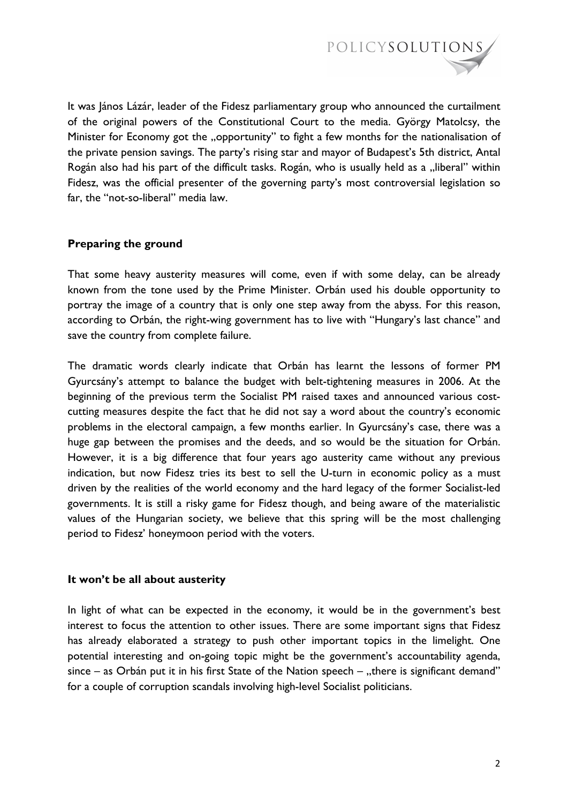

It was János Lázár, leader of the Fidesz parliamentary group who announced the curtailment of the original powers of the Constitutional Court to the media. György Matolcsy, the Minister for Economy got the "opportunity" to fight a few months for the nationalisation of the private pension savings. The party's rising star and mayor of Budapest's 5th district, Antal Rogán also had his part of the difficult tasks. Rogán, who is usually held as a "liberal" within Fidesz, was the official presenter of the governing party's most controversial legislation so far, the "not-so-liberal" media law.

## **Preparing the ground**

That some heavy austerity measures will come, even if with some delay, can be already known from the tone used by the Prime Minister. Orbán used his double opportunity to portray the image of a country that is only one step away from the abyss. For this reason, according to Orbán, the right-wing government has to live with "Hungary's last chance" and save the country from complete failure.

The dramatic words clearly indicate that Orbán has learnt the lessons of former PM Gyurcsány's attempt to balance the budget with belt-tightening measures in 2006. At the beginning of the previous term the Socialist PM raised taxes and announced various costcutting measures despite the fact that he did not say a word about the country's economic problems in the electoral campaign, a few months earlier. In Gyurcsány's case, there was a huge gap between the promises and the deeds, and so would be the situation for Orbán. However, it is a big difference that four years ago austerity came without any previous indication, but now Fidesz tries its best to sell the U-turn in economic policy as a must driven by the realities of the world economy and the hard legacy of the former Socialist-led governments. It is still a risky game for Fidesz though, and being aware of the materialistic values of the Hungarian society, we believe that this spring will be the most challenging period to Fidesz' honeymoon period with the voters.

### **It won't be all about austerity**

In light of what can be expected in the economy, it would be in the government's best interest to focus the attention to other issues. There are some important signs that Fidesz has already elaborated a strategy to push other important topics in the limelight. One potential interesting and on-going topic might be the government's accountability agenda, since – as Orbán put it in his first State of the Nation speech – "there is significant demand" for a couple of corruption scandals involving high-level Socialist politicians.